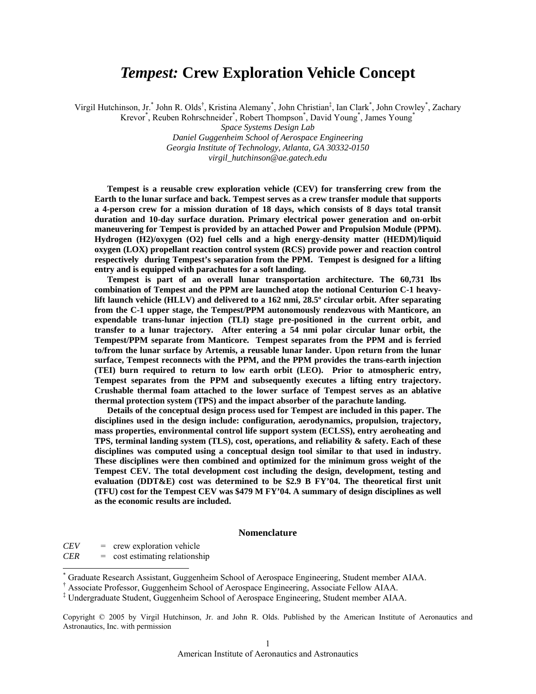# *Tempest:* **Crew Exploration Vehicle Concept**

Virgil Hutchinson, Jr.\* John R. Olds<sup>†</sup>, Kristina Alemany\*, John Christian<sup>‡</sup>, Ian Clark<sup>\*</sup>, John Crowley<sup>\*</sup>, Zachary

Krevor<sup>\*</sup>, Reuben Rohrschneider<sup>\*</sup>, Robert Thompson<sup>\*</sup>, David Young<sup>\*</sup>, James Young<sup>\*</sup>

*Space Systems Design Lab* 

*Daniel Guggenheim School of Aerospace Engineering Georgia Institute of Technology, Atlanta, GA 30332-0150 virgil\_hutchinson@ae.gatech.edu* 

**Tempest is a reusable crew exploration vehicle (CEV) for transferring crew from the Earth to the lunar surface and back. Tempest serves as a crew transfer module that supports a 4-person crew for a mission duration of 18 days, which consists of 8 days total transit duration and 10-day surface duration. Primary electrical power generation and on-orbit maneuvering for Tempest is provided by an attached Power and Propulsion Module (PPM). Hydrogen (H2)/oxygen (O2) fuel cells and a high energy-density matter (HEDM)/liquid oxygen (LOX) propellant reaction control system (RCS) provide power and reaction control respectively during Tempest's separation from the PPM. Tempest is designed for a lifting entry and is equipped with parachutes for a soft landing.** 

**Tempest is part of an overall lunar transportation architecture. The 60,731 lbs combination of Tempest and the PPM are launched atop the notional Centurion C-1 heavylift launch vehicle (HLLV) and delivered to a 162 nmi, 28.5º circular orbit. After separating from the C-1 upper stage, the Tempest/PPM autonomously rendezvous with Manticore, an expendable trans-lunar injection (TLI) stage pre-positioned in the current orbit, and transfer to a lunar trajectory. After entering a 54 nmi polar circular lunar orbit, the Tempest/PPM separate from Manticore. Tempest separates from the PPM and is ferried to/from the lunar surface by Artemis, a reusable lunar lander. Upon return from the lunar surface, Tempest reconnects with the PPM, and the PPM provides the trans-earth injection (TEI) burn required to return to low earth orbit (LEO). Prior to atmospheric entry, Tempest separates from the PPM and subsequently executes a lifting entry trajectory. Crushable thermal foam attached to the lower surface of Tempest serves as an ablative thermal protection system (TPS) and the impact absorber of the parachute landing.** 

**Details of the conceptual design process used for Tempest are included in this paper. The disciplines used in the design include: configuration, aerodynamics, propulsion, trajectory, mass properties, environmental control life support system (ECLSS), entry aeroheating and TPS, terminal landing system (TLS), cost, operations, and reliability & safety. Each of these disciplines was computed using a conceptual design tool similar to that used in industry. These disciplines were then combined and optimized for the minimum gross weight of the Tempest CEV. The total development cost including the design, development, testing and evaluation (DDT&E) cost was determined to be \$2.9 B FY'04. The theoretical first unit (TFU) cost for the Tempest CEV was \$479 M FY'04. A summary of design disciplines as well as the economic results are included.** 

# **Nomenclature**

*CEV* = crew exploration vehicle

 $\overline{a}$ 

*CER* = cost estimating relationship

<sup>\*</sup> Graduate Research Assistant, Guggenheim School of Aerospace Engineering, Student member AIAA.

<sup>†</sup> Associate Professor, Guggenheim School of Aerospace Engineering, Associate Fellow AIAA.

<sup>‡</sup> Undergraduate Student, Guggenheim School of Aerospace Engineering, Student member AIAA.

Copyright © 2005 by Virgil Hutchinson, Jr. and John R. Olds. Published by the American Institute of Aeronautics and Astronautics, Inc. with permission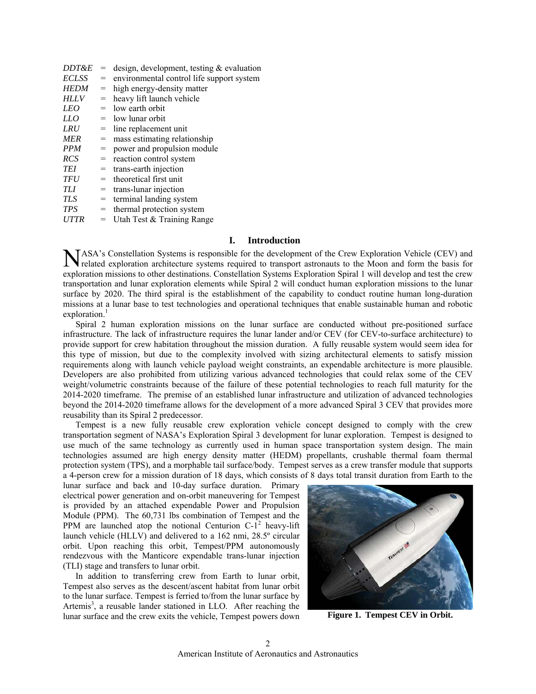| <b>DDT&amp;E</b> | $=$ | design, development, testing $\&$ evaluation |
|------------------|-----|----------------------------------------------|
| <b>ECLSS</b>     |     | = environmental control life support system  |
| <b>HEDM</b>      | $=$ | high energy-density matter                   |
| <b>HLLV</b>      | $=$ | heavy lift launch vehicle                    |
| <i>LEO</i>       | $=$ | low earth orbit                              |
| LLO              |     | $=$ low lunar orbit                          |
| <i>LRU</i>       | $=$ | line replacement unit                        |
| <b>MER</b>       | $=$ | mass estimating relationship                 |
| <b>PPM</b>       | $=$ | power and propulsion module                  |
| <b>RCS</b>       | $=$ | reaction control system                      |
| <b>TEI</b>       | $=$ | trans-earth injection                        |
| <b>TFU</b>       | $=$ | theoretical first unit                       |
| TLI              | $=$ | trans-lunar injection                        |
| <b>TLS</b>       | $=$ | terminal landing system                      |
| <b>TPS</b>       | $=$ | thermal protection system                    |
| UTTR             | $=$ | Utah Test & Training Range                   |

# **I. Introduction**

ASA's Constellation Systems is responsible for the development of the Crew Exploration Vehicle (CEV) and N related exploration architecture systems required to transport astronauts to the Moon and form the basis for exploration missions to other destinations. Constellation Systems Exploration Spiral 1 will develop and test the crew transportation and lunar exploration elements while Spiral 2 will conduct human exploration missions to the lunar surface by 2020. The third spiral is the establishment of the capability to conduct routine human long-duration missions at a lunar base to test technologies and operational techniques that enable sustainable human and robotic exploration.<sup>1</sup>

Spiral 2 human exploration missions on the lunar surface are conducted without pre-positioned surface infrastructure. The lack of infrastructure requires the lunar lander and/or CEV (for CEV-to-surface architecture) to provide support for crew habitation throughout the mission duration. A fully reusable system would seem idea for this type of mission, but due to the complexity involved with sizing architectural elements to satisfy mission requirements along with launch vehicle payload weight constraints, an expendable architecture is more plausible. Developers are also prohibited from utilizing various advanced technologies that could relax some of the CEV weight/volumetric constraints because of the failure of these potential technologies to reach full maturity for the 2014-2020 timeframe. The premise of an established lunar infrastructure and utilization of advanced technologies beyond the 2014-2020 timeframe allows for the development of a more advanced Spiral 3 CEV that provides more reusability than its Spiral 2 predecessor.

Tempest is a new fully reusable crew exploration vehicle concept designed to comply with the crew transportation segment of NASA's Exploration Spiral 3 development for lunar exploration. Tempest is designed to use much of the same technology as currently used in human space transportation system design. The main technologies assumed are high energy density matter (HEDM) propellants, crushable thermal foam thermal protection system (TPS), and a morphable tail surface/body. Tempest serves as a crew transfer module that supports a 4-person crew for a mission duration of 18 days, which consists of 8 days total transit duration from Earth to the

lunar surface and back and 10-day surface duration. Primary electrical power generation and on-orbit maneuvering for Tempest is provided by an attached expendable Power and Propulsion Module (PPM). The 60,731 lbs combination of Tempest and the PPM are launched atop the notional Centurion  $C^{-1^2}$  heavy-lift launch vehicle (HLLV) and delivered to a 162 nmi, 28.5º circular orbit. Upon reaching this orbit, Tempest/PPM autonomously rendezvous with the Manticore expendable trans-lunar injection (TLI) stage and transfers to lunar orbit.

In addition to transferring crew from Earth to lunar orbit, Tempest also serves as the descent/ascent habitat from lunar orbit to the lunar surface. Tempest is ferried to/from the lunar surface by Artemis<sup>3</sup>, a reusable lander stationed in LLO. After reaching the lunar surface and the crew exits the vehicle, Tempest powers down



**Figure 1. Tempest CEV in Orbit.**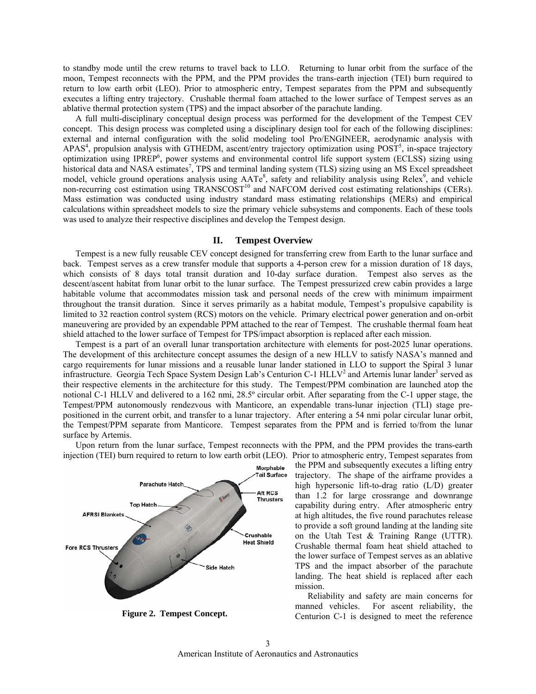to standby mode until the crew returns to travel back to LLO. Returning to lunar orbit from the surface of the moon, Tempest reconnects with the PPM, and the PPM provides the trans-earth injection (TEI) burn required to return to low earth orbit (LEO). Prior to atmospheric entry, Tempest separates from the PPM and subsequently executes a lifting entry trajectory. Crushable thermal foam attached to the lower surface of Tempest serves as an ablative thermal protection system (TPS) and the impact absorber of the parachute landing.

A full multi-disciplinary conceptual design process was performed for the development of the Tempest CEV concept. This design process was completed using a disciplinary design tool for each of the following disciplines: external and internal configuration with the solid modeling tool Pro/ENGINEER, aerodynamic analysis with APAS<sup>4</sup>, propulsion analysis with GTHEDM, ascent/entry trajectory optimization using POST<sup>5</sup>, in-space trajectory optimization using IPREP<sup>6</sup>, power systems and environmental control life support system (ECLSS) sizing using historical data and NASA estimates<sup>7</sup>, TPS and terminal landing system (TLS) sizing using an MS Excel spreadsheet model, vehicle ground operations analysis using AATe<sup>8</sup>, safety and reliability analysis using Relex<sup>9</sup>, and vehicle non-recurring cost estimation using TRANSCOST<sup>10</sup> and NAFCOM derived cost estimating relationships (CERs). Mass estimation was conducted using industry standard mass estimating relationships (MERs) and empirical calculations within spreadsheet models to size the primary vehicle subsystems and components. Each of these tools was used to analyze their respective disciplines and develop the Tempest design.

# **II. Tempest Overview**

Tempest is a new fully reusable CEV concept designed for transferring crew from Earth to the lunar surface and back. Tempest serves as a crew transfer module that supports a 4-person crew for a mission duration of 18 days, which consists of 8 days total transit duration and 10-day surface duration. Tempest also serves as the descent/ascent habitat from lunar orbit to the lunar surface. The Tempest pressurized crew cabin provides a large habitable volume that accommodates mission task and personal needs of the crew with minimum impairment throughout the transit duration. Since it serves primarily as a habitat module, Tempest's propulsive capability is limited to 32 reaction control system (RCS) motors on the vehicle. Primary electrical power generation and on-orbit maneuvering are provided by an expendable PPM attached to the rear of Tempest. The crushable thermal foam heat shield attached to the lower surface of Tempest for TPS/impact absorption is replaced after each mission.

Tempest is a part of an overall lunar transportation architecture with elements for post-2025 lunar operations. The development of this architecture concept assumes the design of a new HLLV to satisfy NASA's manned and cargo requirements for lunar missions and a reusable lunar lander stationed in LLO to support the Spiral 3 lunar infrastructure. Georgia Tech Space System Design Lab's Centurion C-1 HLLV<sup>2</sup> and Artemis lunar lander<sup>3</sup> served as their respective elements in the architecture for this study. The Tempest/PPM combination are launched atop the notional C-1 HLLV and delivered to a 162 nmi, 28.5º circular orbit. After separating from the C-1 upper stage, the Tempest/PPM autonomously rendezvous with Manticore, an expendable trans-lunar injection (TLI) stage prepositioned in the current orbit, and transfer to a lunar trajectory. After entering a 54 nmi polar circular lunar orbit, the Tempest/PPM separate from Manticore. Tempest separates from the PPM and is ferried to/from the lunar surface by Artemis.

Upon return from the lunar surface, Tempest reconnects with the PPM, and the PPM provides the trans-earth injection (TEI) burn required to return to low earth orbit (LEO). Prior to atmospheric entry, Tempest separates from



the PPM and subsequently executes a lifting entry trajectory. The shape of the airframe provides a high hypersonic lift-to-drag ratio (L/D) greater than 1.2 for large crossrange and downrange capability during entry. After atmospheric entry at high altitudes, the five round parachutes release to provide a soft ground landing at the landing site on the Utah Test & Training Range (UTTR). Crushable thermal foam heat shield attached to the lower surface of Tempest serves as an ablative TPS and the impact absorber of the parachute landing. The heat shield is replaced after each mission.

Reliability and safety are main concerns for **Figure 2. Tempest Concept.** manned vehicles. For ascent reliability, the Centurion C-1 is designed to meet the reference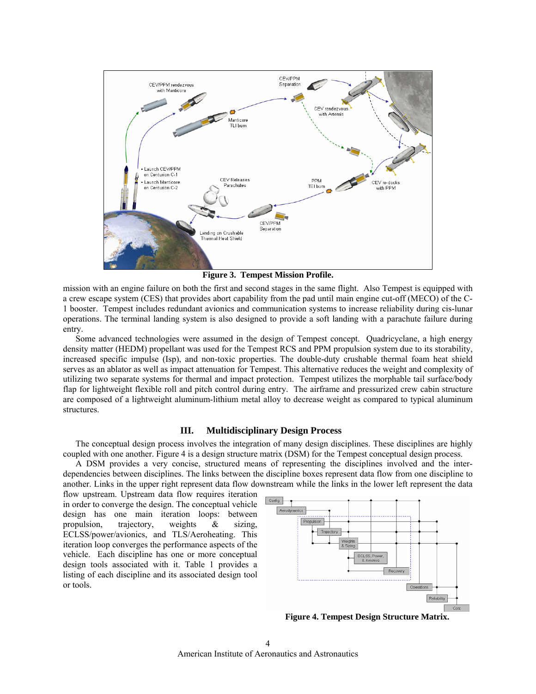

**Figure 3. Tempest Mission Profile.** 

mission with an engine failure on both the first and second stages in the same flight. Also Tempest is equipped with a crew escape system (CES) that provides abort capability from the pad until main engine cut-off (MECO) of the C-1 booster. Tempest includes redundant avionics and communication systems to increase reliability during cis-lunar operations. The terminal landing system is also designed to provide a soft landing with a parachute failure during entry.

Some advanced technologies were assumed in the design of Tempest concept. Quadricyclane, a high energy density matter (HEDM) propellant was used for the Tempest RCS and PPM propulsion system due to its storability, increased specific impulse (Isp), and non-toxic properties. The double-duty crushable thermal foam heat shield serves as an ablator as well as impact attenuation for Tempest. This alternative reduces the weight and complexity of utilizing two separate systems for thermal and impact protection. Tempest utilizes the morphable tail surface/body flap for lightweight flexible roll and pitch control during entry. The airframe and pressurized crew cabin structure are composed of a lightweight aluminum-lithium metal alloy to decrease weight as compared to typical aluminum structures.

# **III. Multidisciplinary Design Process**

The conceptual design process involves the integration of many design disciplines. These disciplines are highly coupled with one another. Figure 4 is a design structure matrix (DSM) for the Tempest conceptual design process.

A DSM provides a very concise, structured means of representing the disciplines involved and the interdependencies between disciplines. The links between the discipline boxes represent data flow from one discipline to another. Links in the upper right represent data flow downstream while the links in the lower left represent the data

flow upstream. Upstream data flow requires iteration in order to converge the design. The conceptual vehicle design has one main iteration loops: between propulsion, trajectory, weights & sizing, ECLSS/power/avionics, and TLS/Aeroheating. This iteration loop converges the performance aspects of the vehicle. Each discipline has one or more conceptual design tools associated with it. Table 1 provides a listing of each discipline and its associated design tool or tools.



**Figure 4. Tempest Design Structure Matrix.**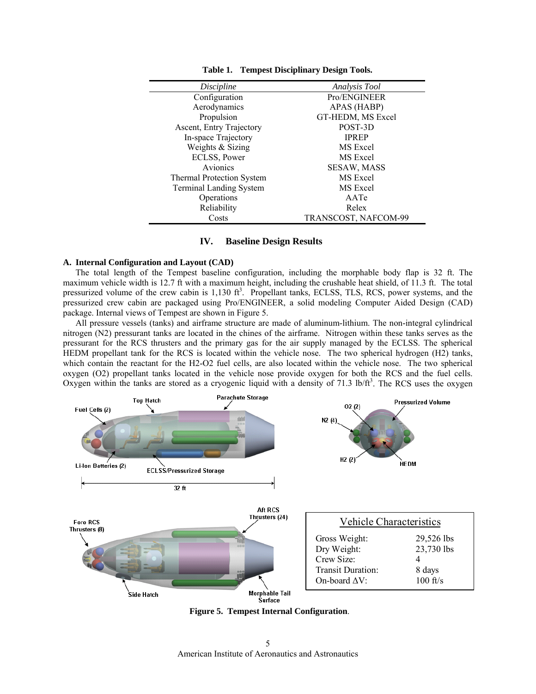| Discipline                       | Analysis Tool        |
|----------------------------------|----------------------|
| Configuration                    | <b>Pro/ENGINEER</b>  |
| Aerodynamics                     | APAS (HABP)          |
| Propulsion                       | GT-HEDM, MS Excel    |
| Ascent, Entry Trajectory         | POST-3D              |
| In-space Trajectory              | <b>IPREP</b>         |
| Weights & Sizing                 | MS Excel             |
| ECLSS, Power                     | MS Excel             |
| Avionics                         | <b>SESAW, MASS</b>   |
| <b>Thermal Protection System</b> | MS Excel             |
| <b>Terminal Landing System</b>   | MS Excel             |
| Operations                       | AATe                 |
| Reliability                      | Relex                |
| Costs                            | TRANSCOST, NAFCOM-99 |

**Table 1. Tempest Disciplinary Design Tools.** 

# **IV. Baseline Design Results**

# **A. Internal Configuration and Layout (CAD)**

The total length of the Tempest baseline configuration, including the morphable body flap is 32 ft. The maximum vehicle width is 12.7 ft with a maximum height, including the crushable heat shield, of 11.3 ft. The total pressurized volume of the crew cabin is  $1,130 \text{ ft}^3$ . Propellant tanks, ECLSS, TLS, RCS, power systems, and the pressurized crew cabin are packaged using Pro/ENGINEER, a solid modeling Computer Aided Design (CAD) package. Internal views of Tempest are shown in Figure 5.

All pressure vessels (tanks) and airframe structure are made of aluminum-lithium. The non-integral cylindrical nitrogen (N2) pressurant tanks are located in the chines of the airframe. Nitrogen within these tanks serves as the pressurant for the RCS thrusters and the primary gas for the air supply managed by the ECLSS. The spherical HEDM propellant tank for the RCS is located within the vehicle nose. The two spherical hydrogen (H2) tanks, which contain the reactant for the H2-O2 fuel cells, are also located within the vehicle nose. The two spherical oxygen (O2) propellant tanks located in the vehicle nose provide oxygen for both the RCS and the fuel cells. Oxygen within the tanks are stored as a cryogenic liquid with a density of  $71.3$  lb/ $ft<sup>3</sup>$ . The RCS uses the oxygen



**Figure 5. Tempest Internal Configuration**.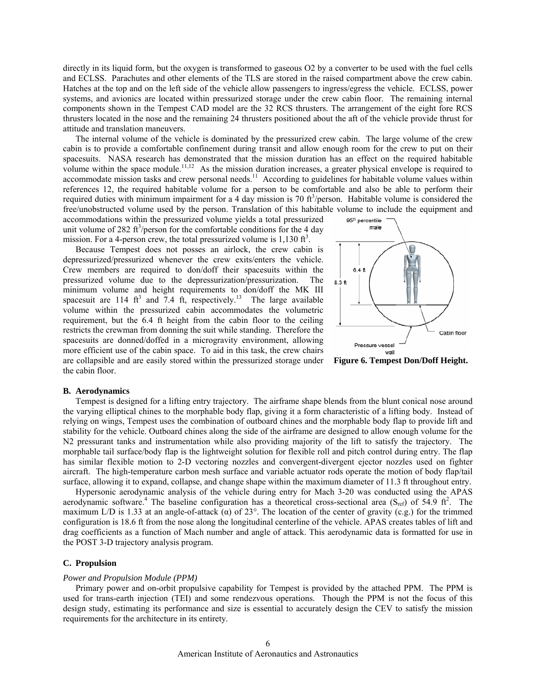directly in its liquid form, but the oxygen is transformed to gaseous O2 by a converter to be used with the fuel cells and ECLSS. Parachutes and other elements of the TLS are stored in the raised compartment above the crew cabin. Hatches at the top and on the left side of the vehicle allow passengers to ingress/egress the vehicle. ECLSS, power systems, and avionics are located within pressurized storage under the crew cabin floor. The remaining internal components shown in the Tempest CAD model are the 32 RCS thrusters. The arrangement of the eight fore RCS thrusters located in the nose and the remaining 24 thrusters positioned about the aft of the vehicle provide thrust for attitude and translation maneuvers.

The internal volume of the vehicle is dominated by the pressurized crew cabin. The large volume of the crew cabin is to provide a comfortable confinement during transit and allow enough room for the crew to put on their spacesuits. NASA research has demonstrated that the mission duration has an effect on the required habitable volume within the space module.<sup>11,12</sup> As the mission duration increases, a greater physical envelope is required to accommodate mission tasks and crew personal needs.<sup>11</sup> According to guidelines for habitable volume values within references 12, the required habitable volume for a person to be comfortable and also be able to perform their required duties with minimum impairment for a 4 day mission is 70  $\text{ft}^3/\text{person}$ . Habitable volume is considered the free/unobstructed volume used by the person. Translation of this habitable volume to include the equipment and

accommodations within the pressurized volume yields a total pressurized unit volume of 282 ft<sup>3</sup>/person for the comfortable conditions for the 4 day mission. For a 4-person crew, the total pressurized volume is  $1,130 \text{ ft}^3$ .

Because Tempest does not posses an airlock, the crew cabin is depressurized/pressurized whenever the crew exits/enters the vehicle. Crew members are required to don/doff their spacesuits within the pressurized volume due to the depressurization/pressurization. The minimum volume and height requirements to don/doff the MK III spacesuit are 114 ft<sup>3</sup> and 7.4 ft, respectively.<sup>13</sup> The large available volume within the pressurized cabin accommodates the volumetric requirement, but the 6.4 ft height from the cabin floor to the ceiling restricts the crewman from donning the suit while standing. Therefore the spacesuits are donned/doffed in a microgravity environment, allowing more efficient use of the cabin space. To aid in this task, the crew chairs are collapsible and are easily stored within the pressurized storage under the cabin floor.



**Figure 6. Tempest Don/Doff Height.**

#### **B. Aerodynamics**

Tempest is designed for a lifting entry trajectory. The airframe shape blends from the blunt conical nose around the varying elliptical chines to the morphable body flap, giving it a form characteristic of a lifting body. Instead of relying on wings, Tempest uses the combination of outboard chines and the morphable body flap to provide lift and stability for the vehicle. Outboard chines along the side of the airframe are designed to allow enough volume for the N2 pressurant tanks and instrumentation while also providing majority of the lift to satisfy the trajectory. The morphable tail surface/body flap is the lightweight solution for flexible roll and pitch control during entry. The flap has similar flexible motion to 2-D vectoring nozzles and convergent-divergent ejector nozzles used on fighter aircraft. The high-temperature carbon mesh surface and variable actuator rods operate the motion of body flap/tail surface, allowing it to expand, collapse, and change shape within the maximum diameter of 11.3 ft throughout entry.

Hypersonic aerodynamic analysis of the vehicle during entry for Mach 3-20 was conducted using the APAS aerodynamic software.<sup>4</sup> The baseline configuration has a theoretical cross-sectional area (S<sub>ref</sub>) of 54.9 ft<sup>2</sup>. The maximum L/D is 1.33 at an angle-of-attack  $\alpha$  of 23°. The location of the center of gravity (c.g.) for the trimmed configuration is 18.6 ft from the nose along the longitudinal centerline of the vehicle. APAS creates tables of lift and drag coefficients as a function of Mach number and angle of attack. This aerodynamic data is formatted for use in the POST 3-D trajectory analysis program.

# **C. Propulsion**

#### *Power and Propulsion Module (PPM)*

Primary power and on-orbit propulsive capability for Tempest is provided by the attached PPM. The PPM is used for trans-earth injection (TEI) and some rendezvous operations. Though the PPM is not the focus of this design study, estimating its performance and size is essential to accurately design the CEV to satisfy the mission requirements for the architecture in its entirety.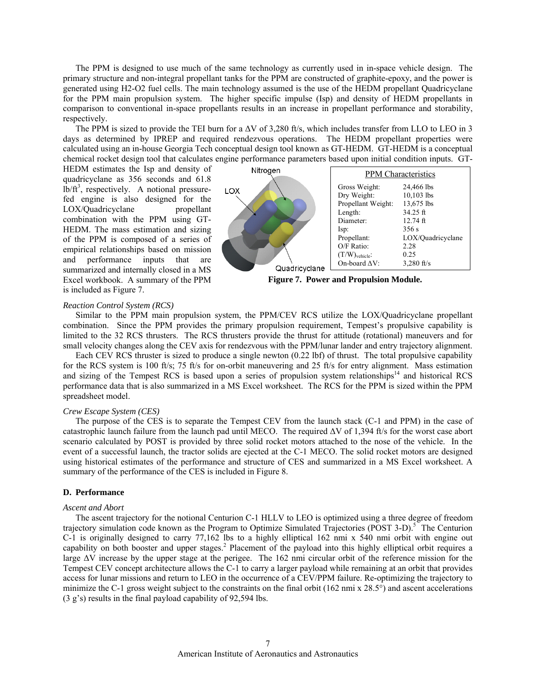The PPM is designed to use much of the same technology as currently used in in-space vehicle design. The primary structure and non-integral propellant tanks for the PPM are constructed of graphite-epoxy, and the power is generated using H2-O2 fuel cells. The main technology assumed is the use of the HEDM propellant Quadricyclane for the PPM main propulsion system. The higher specific impulse (Isp) and density of HEDM propellants in comparison to conventional in-space propellants results in an increase in propellant performance and storability, respectively.

The PPM is sized to provide the TEI burn for a ∆V of 3,280 ft/s, which includes transfer from LLO to LEO in 3 days as determined by IPREP and required rendezvous operations. The HEDM propellant properties were calculated using an in-house Georgia Tech conceptual design tool known as GT-HEDM. GT-HEDM is a conceptual chemical rocket design tool that calculates engine performance parameters based upon initial condition inputs. GT-

HEDM estimates the Isp and density of quadricyclane as 356 seconds and 61.8  $1\text{b/ft}^3$ , respectively. A notional pressurefed engine is also designed for the LOX/Quadricyclane propellant combination with the PPM using GT-HEDM. The mass estimation and sizing of the PPM is composed of a series of empirical relationships based on mission and performance inputs that are summarized and internally closed in a MS Excel workbook. A summary of the PPM is included as Figure 7.



**Figure 7. Power and Propulsion Module.**

#### *Reaction Control System (RCS)*

Similar to the PPM main propulsion system, the PPM/CEV RCS utilize the LOX/Quadricyclane propellant combination. Since the PPM provides the primary propulsion requirement, Tempest's propulsive capability is limited to the 32 RCS thrusters. The RCS thrusters provide the thrust for attitude (rotational) maneuvers and for small velocity changes along the CEV axis for rendezvous with the PPM/lunar lander and entry trajectory alignment.

Each CEV RCS thruster is sized to produce a single newton (0.22 lbf) of thrust. The total propulsive capability for the RCS system is 100 ft/s; 75 ft/s for on-orbit maneuvering and 25 ft/s for entry alignment. Mass estimation and sizing of the Tempest RCS is based upon a series of propulsion system relationships<sup>14</sup> and historical RCS performance data that is also summarized in a MS Excel worksheet. The RCS for the PPM is sized within the PPM spreadsheet model.

## *Crew Escape System (CES)*

The purpose of the CES is to separate the Tempest CEV from the launch stack (C-1 and PPM) in the case of catastrophic launch failure from the launch pad until MECO. The required ∆V of 1,394 ft/s for the worst case abort scenario calculated by POST is provided by three solid rocket motors attached to the nose of the vehicle. In the event of a successful launch, the tractor solids are ejected at the C-1 MECO. The solid rocket motors are designed using historical estimates of the performance and structure of CES and summarized in a MS Excel worksheet. A summary of the performance of the CES is included in Figure 8.

# **D. Performance**

#### *Ascent and Abort*

The ascent trajectory for the notional Centurion C-1 HLLV to LEO is optimized using a three degree of freedom trajectory simulation code known as the Program to Optimize Simulated Trajectories (POST 3-D).<sup>5</sup> The Centurion C-1 is originally designed to carry 77,162 lbs to a highly elliptical 162 nmi x 540 nmi orbit with engine out capability on both booster and upper stages.<sup>2</sup> Placement of the payload into this highly elliptical orbit requires a large ∆V increase by the upper stage at the perigee. The 162 nmi circular orbit of the reference mission for the Tempest CEV concept architecture allows the C-1 to carry a larger payload while remaining at an orbit that provides access for lunar missions and return to LEO in the occurrence of a CEV/PPM failure. Re-optimizing the trajectory to minimize the C-1 gross weight subject to the constraints on the final orbit (162 nmi x 28.5°) and ascent accelerations (3 g's) results in the final payload capability of 92,594 lbs.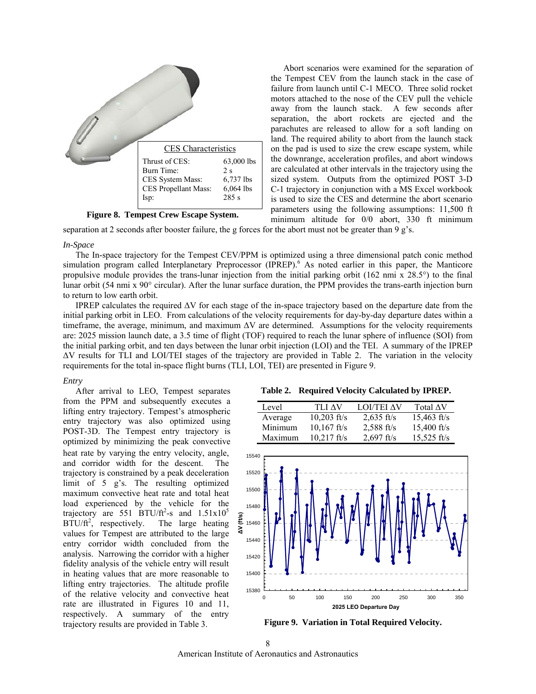

**Figure 8. Tempest Crew Escape System.** 

Abort scenarios were examined for the separation of the Tempest CEV from the launch stack in the case of failure from launch until C-1 MECO. Three solid rocket motors attached to the nose of the CEV pull the vehicle away from the launch stack. A few seconds after separation, the abort rockets are ejected and the parachutes are released to allow for a soft landing on land. The required ability to abort from the launch stack on the pad is used to size the crew escape system, while the downrange, acceleration profiles, and abort windows are calculated at other intervals in the trajectory using the sized system. Outputs from the optimized POST 3-D C-1 trajectory in conjunction with a MS Excel workbook is used to size the CES and determine the abort scenario parameters using the following assumptions: 11,500 ft minimum altitude for 0/0 abort, 330 ft minimum

separation at 2 seconds after booster failure, the g forces for the abort must not be greater than 9 g's.

*In-Space* 

The In-space trajectory for the Tempest CEV/PPM is optimized using a three dimensional patch conic method simulation program called Interplanetary Preprocessor (IPREP).<sup>6</sup> As noted earlier in this paper, the Manticore propulsive module provides the trans-lunar injection from the initial parking orbit (162 nmi  $x$  28.5°) to the final lunar orbit (54 nmi x 90° circular). After the lunar surface duration, the PPM provides the trans-earth injection burn to return to low earth orbit.

IPREP calculates the required ∆V for each stage of the in-space trajectory based on the departure date from the initial parking orbit in LEO. From calculations of the velocity requirements for day-by-day departure dates within a timeframe, the average, minimum, and maximum ∆V are determined. Assumptions for the velocity requirements are: 2025 mission launch date, a 3.5 time of flight (TOF) required to reach the lunar sphere of influence (SOI) from the initial parking orbit, and ten days between the lunar orbit injection (LOI) and the TEI. A summary of the IPREP ∆V results for TLI and LOI/TEI stages of the trajectory are provided in Table 2. The variation in the velocity requirements for the total in-space flight burns (TLI, LOI, TEI) are presented in Figure 9.

#### *Entry*

After arrival to LEO, Tempest separates from the PPM and subsequently executes a lifting entry trajectory. Tempest's atmospheric entry trajectory was also optimized using POST-3D. The Tempest entry trajectory is optimized by minimizing the peak convective heat rate by varying the entry velocity, angle, and corridor width for the descent. The trajectory is constrained by a peak deceleration limit of 5 g's. The resulting optimized maximum convective heat rate and total heat load experienced by the vehicle for the trajectory are 551 BTU/ $\text{ft}^2$ -s and 1.51x10<sup>5</sup>  $BTU/ft^2$ , respectively. The large heating. values for Tempest are attributed to the large entry corridor width concluded from the analysis. Narrowing the corridor with a higher fidelity analysis of the vehicle entry will result in heating values that are more reasonable to lifting entry trajectories. The altitude profile of the relative velocity and convective heat rate are illustrated in Figures 10 and 11, respectively. A summary of the entry trajectory results are provided in Table 3.

**Table 2. Required Velocity Calculated by IPREP.** 

| Level   | TLI AV        | <b>LOI/TEI AV</b>    | Total $\Delta V$      |
|---------|---------------|----------------------|-----------------------|
| Average | $10,203$ ft/s | $2,635 \text{ ft/s}$ | $15,463$ ft/s         |
| Minimum | $10,167$ ft/s | $2,588$ ft/s         | 15,400 ft/s           |
| Maximum | $10,217$ ft/s | $2,697$ ft/s         | $15,525 \text{ ft/s}$ |



**Figure 9. Variation in Total Required Velocity.**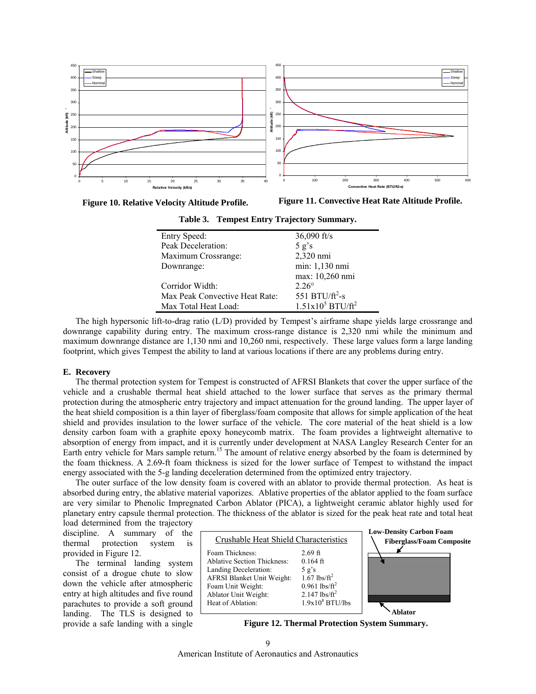

**Figure 10. Relative Velocity Altitude Profile.** 

**Figure 11. Convective Heat Rate Altitude Profile.** 

| Entry Speed:                   | 36,090 ft/s                     |
|--------------------------------|---------------------------------|
| Peak Deceleration:             | 5 g's                           |
| Maximum Crossrange:            | 2,320 nmi                       |
| Downrange:                     | min: 1,130 nmi                  |
|                                | max: 10,260 nmi                 |
| Corridor Width:                | $2.26^{\circ}$                  |
| Max Peak Convective Heat Rate: | 551 BTU/ $ft^2$ -s              |
| Max Total Heat Load:           | $1.51x10^5$ BTU/ft <sup>2</sup> |

**Table 3. Tempest Entry Trajectory Summary.** 

The high hypersonic lift-to-drag ratio (L/D) provided by Tempest's airframe shape yields large crossrange and downrange capability during entry. The maximum cross-range distance is 2,320 nmi while the minimum and maximum downrange distance are 1,130 nmi and 10,260 nmi, respectively. These large values form a large landing footprint, which gives Tempest the ability to land at various locations if there are any problems during entry.

#### **E. Recovery**

The thermal protection system for Tempest is constructed of AFRSI Blankets that cover the upper surface of the vehicle and a crushable thermal heat shield attached to the lower surface that serves as the primary thermal protection during the atmospheric entry trajectory and impact attenuation for the ground landing. The upper layer of the heat shield composition is a thin layer of fiberglass/foam composite that allows for simple application of the heat shield and provides insulation to the lower surface of the vehicle. The core material of the heat shield is a low density carbon foam with a graphite epoxy honeycomb matrix. The foam provides a lightweight alternative to absorption of energy from impact, and it is currently under development at NASA Langley Research Center for an Earth entry vehicle for Mars sample return.<sup>15</sup> The amount of relative energy absorbed by the foam is determined by the foam thickness. A 2.69-ft foam thickness is sized for the lower surface of Tempest to withstand the impact energy associated with the 5-g landing deceleration determined from the optimized entry trajectory.

The outer surface of the low density foam is covered with an ablator to provide thermal protection. As heat is absorbed during entry, the ablative material vaporizes. Ablative properties of the ablator applied to the foam surface are very similar to Phenolic Impregnated Carbon Ablator (PICA), a lightweight ceramic ablator highly used for planetary entry capsule thermal protection. The thickness of the ablator is sized for the peak heat rate and total heat

load determined from the trajectory discipline. A summary of the thermal protection system provided in Figure 12.

The terminal landing system consist of a drogue chute to slow down the vehicle after atmospheric entry at high altitudes and five round parachutes to provide a soft ground landing. The TLS is designed to provide a safe landing with a single

|                                                                                                                                                                                       |                                                                                                                                                     | <b>Low-Density Carbon Foam</b>   |
|---------------------------------------------------------------------------------------------------------------------------------------------------------------------------------------|-----------------------------------------------------------------------------------------------------------------------------------------------------|----------------------------------|
| <b>Crushable Heat Shield Characteristics</b>                                                                                                                                          |                                                                                                                                                     | <b>Fiberglass/Foam Composite</b> |
| Foam Thickness:<br><b>Ablative Section Thickness:</b><br>Landing Deceleration:<br><b>AFRSI Blanket Unit Weight:</b><br>Foam Unit Weight:<br>Ablator Unit Weight:<br>Heat of Ablation: | $2.69$ ft<br>$0.164$ ft<br>$5 \text{ g's}$<br>$1.67$ lbs/ft <sup>2</sup><br>$0.961$ lbs/ft <sup>2</sup><br>$2.147$ lbs/ $ft^2$<br>$1.9x108$ BTU/lbs |                                  |
|                                                                                                                                                                                       |                                                                                                                                                     |                                  |

**Figure 12. Thermal Protection System Summary.**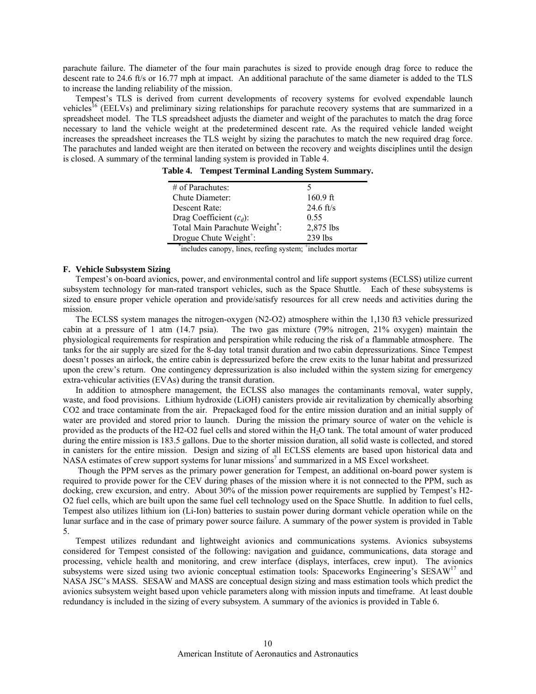parachute failure. The diameter of the four main parachutes is sized to provide enough drag force to reduce the descent rate to 24.6 ft/s or 16.77 mph at impact. An additional parachute of the same diameter is added to the TLS to increase the landing reliability of the mission.

Tempest's TLS is derived from current developments of recovery systems for evolved expendable launch vehicles<sup>16</sup> (EELVs) and preliminary sizing relationships for parachute recovery systems that are summarized in a spreadsheet model. The TLS spreadsheet adjusts the diameter and weight of the parachutes to match the drag force necessary to land the vehicle weight at the predetermined descent rate. As the required vehicle landed weight increases the spreadsheet increases the TLS weight by sizing the parachutes to match the new required drag force. The parachutes and landed weight are then iterated on between the recovery and weights disciplines until the design is closed. A summary of the terminal landing system is provided in Table 4.

| $#$ of Parachutes:                                      |             |
|---------------------------------------------------------|-------------|
| Chute Diameter:                                         | $160.9$ ft  |
| Descent Rate:                                           | $24.6$ ft/s |
| Drag Coefficient $(c_d)$ :                              | 0.55        |
| Total Main Parachute Weight:                            | 2,875 lbs   |
| Drogue Chute Weight <sup>+</sup> :                      | 239 lbs     |
| includes canopy, lines, reefing system; includes mortar |             |

**Table 4. Tempest Terminal Landing System Summary.** 

# **F. Vehicle Subsystem Sizing**

Tempest's on-board avionics, power, and environmental control and life support systems (ECLSS) utilize current subsystem technology for man-rated transport vehicles, such as the Space Shuttle. Each of these subsystems is sized to ensure proper vehicle operation and provide/satisfy resources for all crew needs and activities during the mission.

The ECLSS system manages the nitrogen-oxygen (N2-O2) atmosphere within the 1,130 ft3 vehicle pressurized cabin at a pressure of 1 atm (14.7 psia). The two gas mixture (79% nitrogen, 21% oxygen) maintain the physiological requirements for respiration and perspiration while reducing the risk of a flammable atmosphere. The tanks for the air supply are sized for the 8-day total transit duration and two cabin depressurizations. Since Tempest doesn't posses an airlock, the entire cabin is depressurized before the crew exits to the lunar habitat and pressurized upon the crew's return. One contingency depressurization is also included within the system sizing for emergency extra-vehicular activities (EVAs) during the transit duration.

In addition to atmosphere management, the ECLSS also manages the contaminants removal, water supply, waste, and food provisions. Lithium hydroxide (LiOH) canisters provide air revitalization by chemically absorbing CO2 and trace contaminate from the air. Prepackaged food for the entire mission duration and an initial supply of water are provided and stored prior to launch. During the mission the primary source of water on the vehicle is provided as the products of the H2-O2 fuel cells and stored within the H2O tank. The total amount of water produced during the entire mission is 183.5 gallons. Due to the shorter mission duration, all solid waste is collected, and stored in canisters for the entire mission. Design and sizing of all ECLSS elements are based upon historical data and NASA estimates of crew support systems for lunar missions<sup>7</sup> and summarized in a MS Excel worksheet.

 Though the PPM serves as the primary power generation for Tempest, an additional on-board power system is required to provide power for the CEV during phases of the mission where it is not connected to the PPM, such as docking, crew excursion, and entry. About 30% of the mission power requirements are supplied by Tempest's H2- O2 fuel cells, which are built upon the same fuel cell technology used on the Space Shuttle. In addition to fuel cells, Tempest also utilizes lithium ion (Li-Ion) batteries to sustain power during dormant vehicle operation while on the lunar surface and in the case of primary power source failure. A summary of the power system is provided in Table 5.

Tempest utilizes redundant and lightweight avionics and communications systems. Avionics subsystems considered for Tempest consisted of the following: navigation and guidance, communications, data storage and processing, vehicle health and monitoring, and crew interface (displays, interfaces, crew input). The avionics subsystems were sized using two avionic conceptual estimation tools: Spaceworks Engineering's SESAW<sup>17</sup> and NASA JSC's MASS. SESAW and MASS are conceptual design sizing and mass estimation tools which predict the avionics subsystem weight based upon vehicle parameters along with mission inputs and timeframe. At least double redundancy is included in the sizing of every subsystem. A summary of the avionics is provided in Table 6.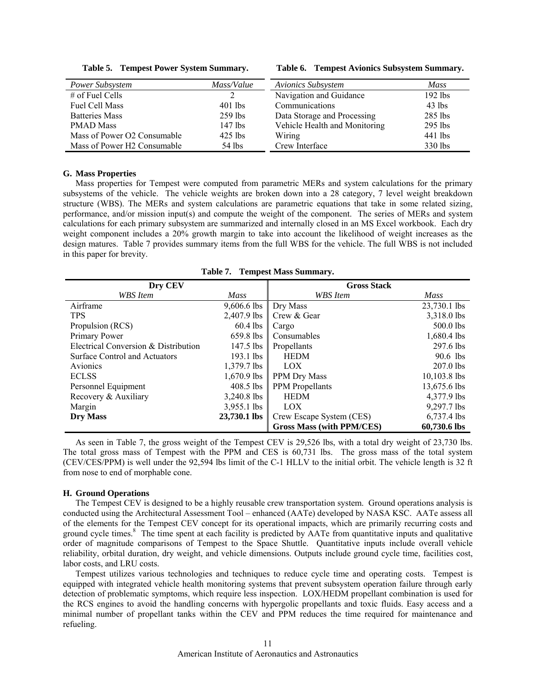| Table 5. Tempest Power System Summary. |  |  |  |  |
|----------------------------------------|--|--|--|--|
|----------------------------------------|--|--|--|--|

**Table 6. Tempest Avionics Subsystem Summary.** 

| Power Subsystem             | Mass/Value | <b>Avionics Subsystem</b>     | <b>Mass</b> |
|-----------------------------|------------|-------------------------------|-------------|
| $#$ of Fuel Cells           |            | Navigation and Guidance       | $192$ lbs   |
| <b>Fuel Cell Mass</b>       | $401$ lbs  | Communications                | $43$ lbs    |
| <b>Batteries Mass</b>       | $259$ lbs  | Data Storage and Processing   | $285$ lbs   |
| <b>PMAD Mass</b>            | $147$ lbs  | Vehicle Health and Monitoring | $295$ lbs   |
| Mass of Power O2 Consumable | $425$ lbs  | Wiring                        | 441 lbs     |
| Mass of Power H2 Consumable | 54 lbs     | Crew Interface                | 330 lbs     |

## **G. Mass Properties**

Mass properties for Tempest were computed from parametric MERs and system calculations for the primary subsystems of the vehicle. The vehicle weights are broken down into a 28 category, 7 level weight breakdown structure (WBS). The MERs and system calculations are parametric equations that take in some related sizing, performance, and/or mission input(s) and compute the weight of the component. The series of MERs and system calculations for each primary subsystem are summarized and internally closed in an MS Excel workbook. Each dry weight component includes a 20% growth margin to take into account the likelihood of weight increases as the design matures. Table 7 provides summary items from the full WBS for the vehicle. The full WBS is not included in this paper for brevity.

**Table 7. Tempest Mass Summary.** 

| Dry CEV                              |               | <b>Gross Stack</b>               |                |
|--------------------------------------|---------------|----------------------------------|----------------|
| <b>WBS</b> Item                      | <b>Mass</b>   | <b>WBS</b> Item                  | <b>Mass</b>    |
| Airframe                             | 9,606.6 lbs   | Dry Mass                         | 23,730.1 lbs   |
| <b>TPS</b>                           | 2,407.9 lbs   | Crew & Gear                      | 3,318.0 lbs    |
| Propulsion (RCS)                     | 60.4 lbs      | Cargo                            | 500.0 lbs      |
| Primary Power                        | 659.8 lbs     | Consumables                      | $1,680.4$ lbs  |
| Electrical Conversion & Distribution | $147.5$ lbs   | Propellants                      | 297.6 lbs      |
| <b>Surface Control and Actuators</b> | 193.1 lbs     | <b>HEDM</b>                      | 90.6 lbs       |
| Avionics                             | $1,379.7$ lbs | LOX                              | 207.0 lbs      |
| <b>ECLSS</b>                         | $1,670.9$ lbs | PPM Dry Mass                     | $10,103.8$ lbs |
| Personnel Equipment                  | $408.5$ lbs   | <b>PPM</b> Propellants           | 13,675.6 lbs   |
| Recovery & Auxiliary                 | 3,240.8 lbs   | <b>HEDM</b>                      | 4,377.9 lbs    |
| Margin                               | $3,955.1$ lbs | LOX                              | 9,297.7 lbs    |
| Dry Mass                             | 23,730.1 lbs  | Crew Escape System (CES)         | 6,737.4 lbs    |
|                                      |               | <b>Gross Mass (with PPM/CES)</b> | 60,730.6 lbs   |

As seen in Table 7, the gross weight of the Tempest CEV is 29,526 lbs, with a total dry weight of 23,730 lbs. The total gross mass of Tempest with the PPM and CES is 60,731 lbs. The gross mass of the total system (CEV/CES/PPM) is well under the 92,594 lbs limit of the C-1 HLLV to the initial orbit. The vehicle length is 32 ft from nose to end of morphable cone.

#### **H. Ground Operations**

The Tempest CEV is designed to be a highly reusable crew transportation system. Ground operations analysis is conducted using the Architectural Assessment Tool – enhanced (AATe) developed by NASA KSC. AATe assess all of the elements for the Tempest CEV concept for its operational impacts, which are primarily recurring costs and ground cycle times.<sup>8</sup> The time spent at each facility is predicted by AATe from quantitative inputs and qualitative order of magnitude comparisons of Tempest to the Space Shuttle. Quantitative inputs include overall vehicle reliability, orbital duration, dry weight, and vehicle dimensions. Outputs include ground cycle time, facilities cost, labor costs, and LRU costs.

Tempest utilizes various technologies and techniques to reduce cycle time and operating costs. Tempest is equipped with integrated vehicle health monitoring systems that prevent subsystem operation failure through early detection of problematic symptoms, which require less inspection. LOX/HEDM propellant combination is used for the RCS engines to avoid the handling concerns with hypergolic propellants and toxic fluids. Easy access and a minimal number of propellant tanks within the CEV and PPM reduces the time required for maintenance and refueling.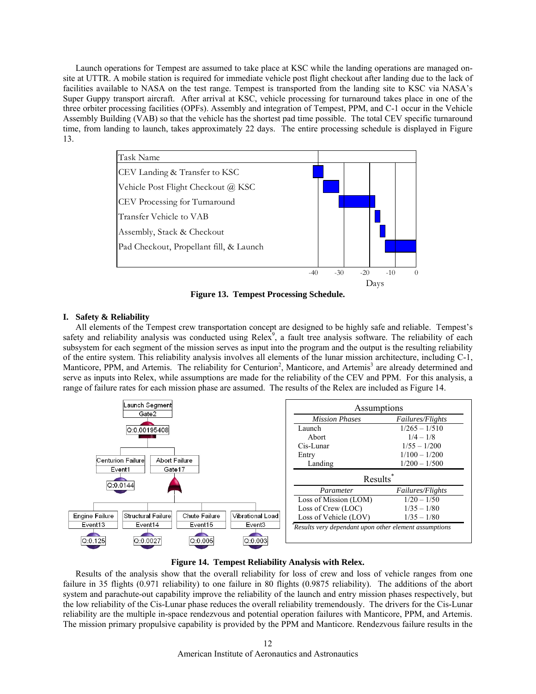Launch operations for Tempest are assumed to take place at KSC while the landing operations are managed onsite at UTTR. A mobile station is required for immediate vehicle post flight checkout after landing due to the lack of facilities available to NASA on the test range. Tempest is transported from the landing site to KSC via NASA's Super Guppy transport aircraft. After arrival at KSC, vehicle processing for turnaround takes place in one of the three orbiter processing facilities (OPFs). Assembly and integration of Tempest, PPM, and C-1 occur in the Vehicle Assembly Building (VAB) so that the vehicle has the shortest pad time possible. The total CEV specific turnaround time, from landing to launch, takes approximately 22 days. The entire processing schedule is displayed in Figure 13.



**Figure 13. Tempest Processing Schedule.** 

# **I. Safety & Reliability**

All elements of the Tempest crew transportation concept are designed to be highly safe and reliable. Tempest's safety and reliability analysis was conducted using  $Relex^9$ , a fault tree analysis software. The reliability of each subsystem for each segment of the mission serves as input into the program and the output is the resulting reliability of the entire system. This reliability analysis involves all elements of the lunar mission architecture, including C-1, Manticore, PPM, and Artemis. The reliability for Centurion<sup>2</sup>, Manticore, and Artemis<sup>3</sup> are already determined and serve as inputs into Relex, while assumptions are made for the reliability of the CEV and PPM. For this analysis, a range of failure rates for each mission phase are assumed. The results of the Relex are included as Figure 14.





Results of the analysis show that the overall reliability for loss of crew and loss of vehicle ranges from one failure in 35 flights (0.971 reliability) to one failure in 80 flights (0.9875 reliability). The additions of the abort system and parachute-out capability improve the reliability of the launch and entry mission phases respectively, but the low reliability of the Cis-Lunar phase reduces the overall reliability tremendously. The drivers for the Cis-Lunar reliability are the multiple in-space rendezvous and potential operation failures with Manticore, PPM, and Artemis. The mission primary propulsive capability is provided by the PPM and Manticore. Rendezvous failure results in the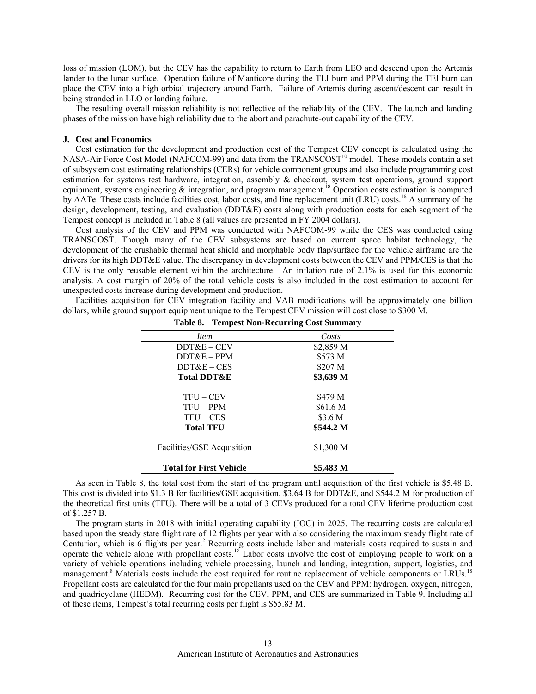loss of mission (LOM), but the CEV has the capability to return to Earth from LEO and descend upon the Artemis lander to the lunar surface. Operation failure of Manticore during the TLI burn and PPM during the TEI burn can place the CEV into a high orbital trajectory around Earth. Failure of Artemis during ascent/descent can result in being stranded in LLO or landing failure.

The resulting overall mission reliability is not reflective of the reliability of the CEV. The launch and landing phases of the mission have high reliability due to the abort and parachute-out capability of the CEV.

#### **J. Cost and Economics**

Cost estimation for the development and production cost of the Tempest CEV concept is calculated using the NASA-Air Force Cost Model (NAFCOM-99) and data from the TRANSCOST<sup>10</sup> model. These models contain a set of subsystem cost estimating relationships (CERs) for vehicle component groups and also include programming cost estimation for systems test hardware, integration, assembly & checkout, system test operations, ground support equipment, systems engineering & integration, and program management.<sup>18</sup> Operation costs estimation is computed by AATe. These costs include facilities cost, labor costs, and line replacement unit (LRU) costs.<sup>18</sup> A summary of the design, development, testing, and evaluation (DDT&E) costs along with production costs for each segment of the Tempest concept is included in Table 8 (all values are presented in FY 2004 dollars).

Cost analysis of the CEV and PPM was conducted with NAFCOM-99 while the CES was conducted using TRANSCOST. Though many of the CEV subsystems are based on current space habitat technology, the development of the crushable thermal heat shield and morphable body flap/surface for the vehicle airframe are the drivers for its high DDT&E value. The discrepancy in development costs between the CEV and PPM/CES is that the CEV is the only reusable element within the architecture. An inflation rate of 2.1% is used for this economic analysis. A cost margin of 20% of the total vehicle costs is also included in the cost estimation to account for unexpected costs increase during development and production.

Facilities acquisition for CEV integration facility and VAB modifications will be approximately one billion dollars, while ground support equipment unique to the Tempest CEV mission will cost close to \$300 M.

|                                | o         |
|--------------------------------|-----------|
| <i>Item</i>                    | Costs     |
| $DDT&E-CEV$                    | \$2,859 M |
| $DDT&E-PPM$                    | \$573 M   |
| $DDT&E-CES$                    | \$207 M   |
| <b>Total DDT&amp;E</b>         | \$3,639 M |
|                                |           |
| TFU-CEV                        | \$479 M   |
| $TFU - PPM$                    | \$61.6 M  |
| TFU-CES                        | \$3.6 M   |
| <b>Total TFU</b>               | \$544.2 M |
|                                |           |
| Facilities/GSE Acquisition     | \$1,300 M |
| <b>Total for First Vehicle</b> | \$5,483 M |

**Table 8. Tempest Non-Recurring Cost Summary** 

As seen in Table 8, the total cost from the start of the program until acquisition of the first vehicle is \$5.48 B. This cost is divided into \$1.3 B for facilities/GSE acquisition, \$3.64 B for DDT&E, and \$544.2 M for production of the theoretical first units (TFU). There will be a total of 3 CEVs produced for a total CEV lifetime production cost of \$1.257 B.

The program starts in 2018 with initial operating capability (IOC) in 2025. The recurring costs are calculated based upon the steady state flight rate of 12 flights per year with also considering the maximum steady flight rate of Centurion, which is 6 flights per year.<sup>2</sup> Recurring costs include labor and materials costs required to sustain and operate the vehicle along with propellant costs.<sup>18</sup> Labor costs involve the cost of employing people to work on a variety of vehicle operations including vehicle processing, launch and landing, integration, support, logistics, and management.<sup>8</sup> Materials costs include the cost required for routine replacement of vehicle components or LRUs.<sup>18</sup> Propellant costs are calculated for the four main propellants used on the CEV and PPM: hydrogen, oxygen, nitrogen, and quadricyclane (HEDM). Recurring cost for the CEV, PPM, and CES are summarized in Table 9. Including all of these items, Tempest's total recurring costs per flight is \$55.83 M.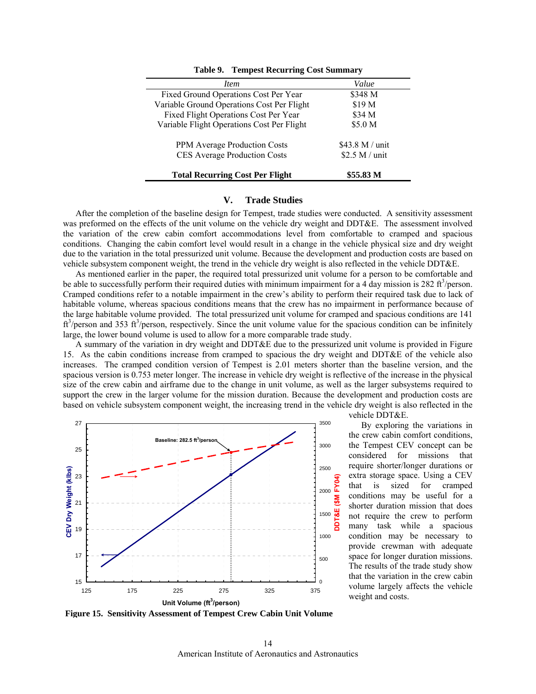| <i>Item</i>                                | Value                           |
|--------------------------------------------|---------------------------------|
| Fixed Ground Operations Cost Per Year      | \$348 M                         |
| Variable Ground Operations Cost Per Flight | \$19 M                          |
| Fixed Flight Operations Cost Per Year      | \$34 M                          |
| Variable Flight Operations Cost Per Flight | \$5.0 M                         |
| PPM Average Production Costs               | $$43.8 \text{ M} / \text{unit}$ |
| CES Average Production Costs               | \$2.5 M / unit                  |
| <b>Total Recurring Cost Per Flight</b>     | $$55.83\ M$                     |

**Table 9. Tempest Recurring Cost Summary** 

# **V. Trade Studies**

After the completion of the baseline design for Tempest, trade studies were conducted. A sensitivity assessment was preformed on the effects of the unit volume on the vehicle dry weight and DDT&E. The assessment involved the variation of the crew cabin comfort accommodations level from comfortable to cramped and spacious conditions. Changing the cabin comfort level would result in a change in the vehicle physical size and dry weight due to the variation in the total pressurized unit volume. Because the development and production costs are based on vehicle subsystem component weight, the trend in the vehicle dry weight is also reflected in the vehicle DDT&E.

As mentioned earlier in the paper, the required total pressurized unit volume for a person to be comfortable and be able to successfully perform their required duties with minimum impairment for a 4 day mission is 282 ft<sup>3</sup>/person. Cramped conditions refer to a notable impairment in the crew's ability to perform their required task due to lack of habitable volume, whereas spacious conditions means that the crew has no impairment in performance because of the large habitable volume provided. The total pressurized unit volume for cramped and spacious conditions are 141 ft<sup>3</sup>/person and 353 ft<sup>3</sup>/person, respectively. Since the unit volume value for the spacious condition can be infinitely large, the lower bound volume is used to allow for a more comparable trade study.

A summary of the variation in dry weight and DDT&E due to the pressurized unit volume is provided in Figure 15. As the cabin conditions increase from cramped to spacious the dry weight and DDT&E of the vehicle also increases. The cramped condition version of Tempest is 2.01 meters shorter than the baseline version, and the spacious version is 0.753 meter longer. The increase in vehicle dry weight is reflective of the increase in the physical size of the crew cabin and airframe due to the change in unit volume, as well as the larger subsystems required to support the crew in the larger volume for the mission duration. Because the development and production costs are based on vehicle subsystem component weight, the increasing trend in the vehicle dry weight is also reflected in the



vehicle DDT&E.

By exploring the variations in the crew cabin comfort conditions, the Tempest CEV concept can be considered for missions that require shorter/longer durations or extra storage space. Using a CEV that is sized for cramped conditions may be useful for a shorter duration mission that does not require the crew to perform many task while a spacious condition may be necessary to provide crewman with adequate space for longer duration missions. The results of the trade study show that the variation in the crew cabin volume largely affects the vehicle weight and costs.

**Figure 15. Sensitivity Assessment of Tempest Crew Cabin Unit Volume**

American Institute of Aeronautics and Astronautics 14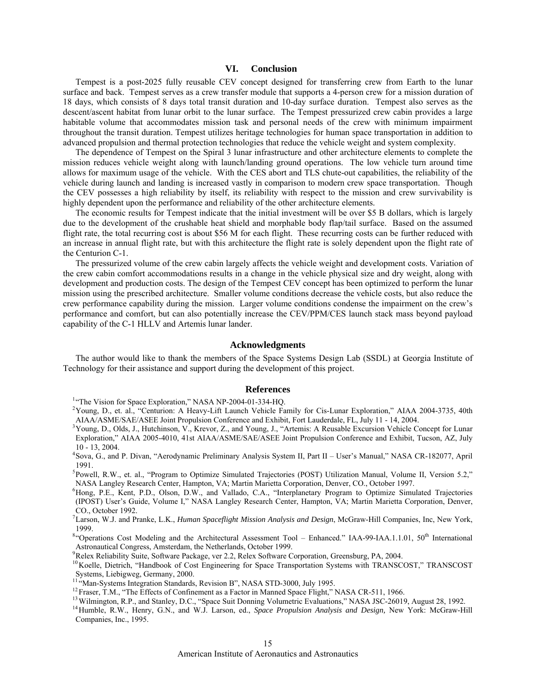# **VI. Conclusion**

Tempest is a post-2025 fully reusable CEV concept designed for transferring crew from Earth to the lunar surface and back. Tempest serves as a crew transfer module that supports a 4-person crew for a mission duration of 18 days, which consists of 8 days total transit duration and 10-day surface duration. Tempest also serves as the descent/ascent habitat from lunar orbit to the lunar surface. The Tempest pressurized crew cabin provides a large habitable volume that accommodates mission task and personal needs of the crew with minimum impairment throughout the transit duration. Tempest utilizes heritage technologies for human space transportation in addition to advanced propulsion and thermal protection technologies that reduce the vehicle weight and system complexity.

The dependence of Tempest on the Spiral 3 lunar infrastructure and other architecture elements to complete the mission reduces vehicle weight along with launch/landing ground operations. The low vehicle turn around time allows for maximum usage of the vehicle. With the CES abort and TLS chute-out capabilities, the reliability of the vehicle during launch and landing is increased vastly in comparison to modern crew space transportation. Though the CEV possesses a high reliability by itself, its reliability with respect to the mission and crew survivability is highly dependent upon the performance and reliability of the other architecture elements.

The economic results for Tempest indicate that the initial investment will be over \$5 B dollars, which is largely due to the development of the crushable heat shield and morphable body flap/tail surface. Based on the assumed flight rate, the total recurring cost is about \$56 M for each flight. These recurring costs can be further reduced with an increase in annual flight rate, but with this architecture the flight rate is solely dependent upon the flight rate of the Centurion C-1.

The pressurized volume of the crew cabin largely affects the vehicle weight and development costs. Variation of the crew cabin comfort accommodations results in a change in the vehicle physical size and dry weight, along with development and production costs. The design of the Tempest CEV concept has been optimized to perform the lunar mission using the prescribed architecture. Smaller volume conditions decrease the vehicle costs, but also reduce the crew performance capability during the mission. Larger volume conditions condense the impairment on the crew's performance and comfort, but can also potentially increase the CEV/PPM/CES launch stack mass beyond payload capability of the C-1 HLLV and Artemis lunar lander.

#### **Acknowledgments**

The author would like to thank the members of the Space Systems Design Lab (SSDL) at Georgia Institute of Technology for their assistance and support during the development of this project.

## **References**

- <sup>2</sup>Young, D., et. al., "Centurion: A Heavy-Lift Launch Vehicle Family for Cis-Lunar Exploration," AIAA 2004-3735, 40th AIAA/ASME/SAE/ASEE Joint Propulsion Conference and Exhibit, Fort Lauderdale, FL, July 11 - 14, 2004.<br><sup>3</sup>Young, D., Olds, J., Hutchinson, V., Krevor, Z., and Young, J., "Artemis: A Reusable Excursion Vehicle Concept for Lu
- Exploration," AIAA 2005-4010, 41st AIAA/ASME/SAE/ASEE Joint Propulsion Conference and Exhibit, Tucson, AZ, July 10 - 13, 2004.
- <sup>4</sup> Sova, G., and P. Divan, "Aerodynamic Preliminary Analysis System II, Part II User's Manual," NASA CR-182077, April 1991.

<sup>5</sup> Powell, R.W., et. al., "Program to Optimize Simulated Trajectories (POST) Utilization Manual, Volume II, Version 5.2," NASA Langley Research Center, Hampton, VA; Martin Marietta Corporation, Denver, CO., October 1997. 6

<sup>6</sup>Hong, P.E., Kent, P.D., Olson, D.W., and Vallado, C.A., "Interplanetary Program to Optimize Simulated Trajectories (IPOST) User's Guide, Volume I," NASA Langley Research Center, Hampton, VA; Martin Marietta Corporation, Denver, CO., October 1992.

7 Larson, W.J. and Pranke, L.K., *Human Spaceflight Mission Analysis and Design*, McGraw-Hill Companies, Inc, New York, 1999.

- $8$ <sup>6</sup> Operations Cost Modeling and the Architectural Assessment Tool Enhanced." IAA-99-IAA.1.1.01, 50<sup>th</sup> International Astronautical Congress, Amsterdam, the Netherlands, October 1999.<br><sup>9</sup>Relex Reliability Suite, Software Package, ver 2.2, Relex Software Corporation, Greensburg, PA, 2004.
- 

Relex Reliability Suite, Software Package, version, Greensburg, Package, Package, Package, Package, Package, P<br>10 Koelle, Dietrich, "Handbook of Cost Engineering for Space Transportation Systems with TRANSCOST," TRANSCOST Systems, Liebigweg, Germany, 2000.<br><sup>11 "</sup>Man-Systems Integration Standards, Revision B", NASA STD-3000, July 1995.

- 
- 
- 

<sup>12</sup> Fraser, T.M., "The Effects of Confinement as a Factor in Manned Space Flight," NASA CR-511, 1966.<br><sup>13</sup> Wilmington, R.P., and Stanley, D.C., "Space Suit Donning Volumetric Evaluations," NASA JSC-26019, August 28, 1992 Companies, Inc., 1995.

<sup>&</sup>lt;sup>1</sup>"The Vision for Space Exploration," NASA NP-2004-01-334-HQ.